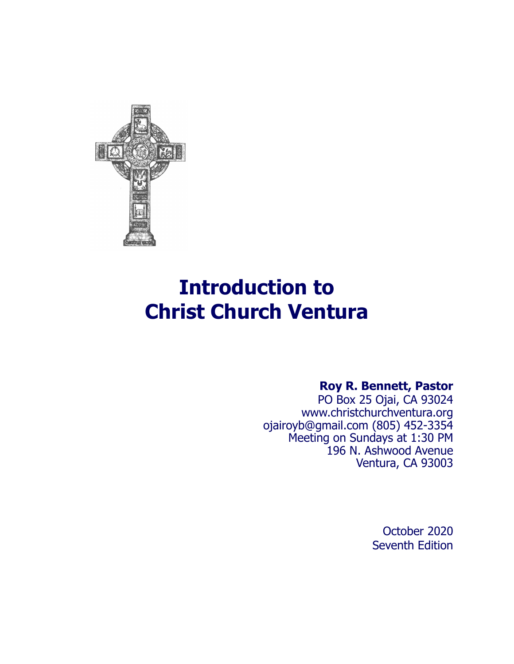

# **Introduction to Christ Church Ventura**

# **Roy R. Bennett, Pastor**

 PO Box 25 Ojai, CA 93024 [www.christchurchventura.org](http://www.christchurchventura.org)  [ojairoyb@gmail.com](mailto:roy@ojaipca.org) (805) 452-3354 Meeting on Sundays at 1:30 PM 196 N. Ashwood Avenue Ventura, CA 93003

> October 2020 Seventh Edition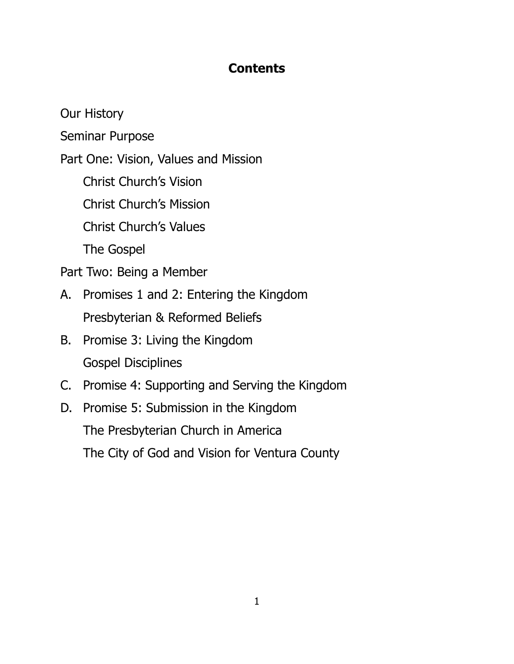# **Contents**

Our History

Seminar Purpose

Part One: Vision, Values and Mission

Christ Church's Vision

Christ Church's Mission

Christ Church's Values

The Gospel

Part Two: Being a Member

- A. Promises 1 and 2: Entering the Kingdom Presbyterian & Reformed Beliefs
- B. Promise 3: Living the Kingdom Gospel Disciplines
- C. Promise 4: Supporting and Serving the Kingdom
- D. Promise 5: Submission in the Kingdom The Presbyterian Church in America The City of God and Vision for Ventura County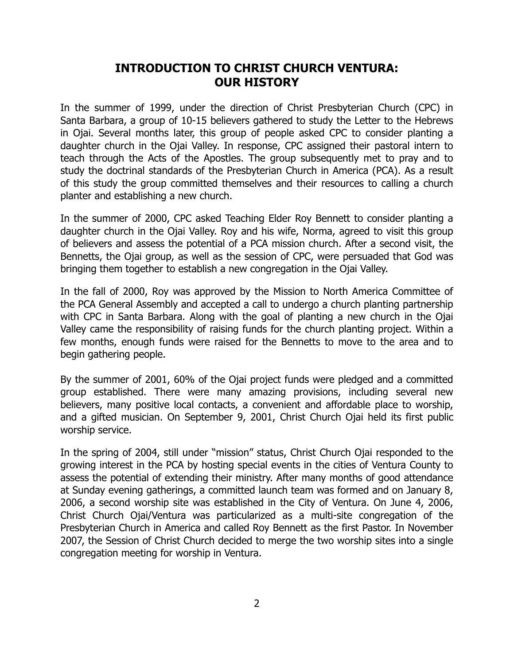# **INTRODUCTION TO CHRIST CHURCH VENTURA: OUR HISTORY**

In the summer of 1999, under the direction of Christ Presbyterian Church (CPC) in Santa Barbara, a group of 10-15 believers gathered to study the Letter to the Hebrews in Ojai. Several months later, this group of people asked CPC to consider planting a daughter church in the Ojai Valley. In response, CPC assigned their pastoral intern to teach through the Acts of the Apostles. The group subsequently met to pray and to study the doctrinal standards of the Presbyterian Church in America (PCA). As a result of this study the group committed themselves and their resources to calling a church planter and establishing a new church.

In the summer of 2000, CPC asked Teaching Elder Roy Bennett to consider planting a daughter church in the Ojai Valley. Roy and his wife, Norma, agreed to visit this group of believers and assess the potential of a PCA mission church. After a second visit, the Bennetts, the Ojai group, as well as the session of CPC, were persuaded that God was bringing them together to establish a new congregation in the Ojai Valley.

In the fall of 2000, Roy was approved by the Mission to North America Committee of the PCA General Assembly and accepted a call to undergo a church planting partnership with CPC in Santa Barbara. Along with the goal of planting a new church in the Ojai Valley came the responsibility of raising funds for the church planting project. Within a few months, enough funds were raised for the Bennetts to move to the area and to begin gathering people.

By the summer of 2001, 60% of the Ojai project funds were pledged and a committed group established. There were many amazing provisions, including several new believers, many positive local contacts, a convenient and affordable place to worship, and a gifted musician. On September 9, 2001, Christ Church Ojai held its first public worship service.

In the spring of 2004, still under "mission" status, Christ Church Ojai responded to the growing interest in the PCA by hosting special events in the cities of Ventura County to assess the potential of extending their ministry. After many months of good attendance at Sunday evening gatherings, a committed launch team was formed and on January 8, 2006, a second worship site was established in the City of Ventura. On June 4, 2006, Christ Church Ojai/Ventura was particularized as a multi-site congregation of the Presbyterian Church in America and called Roy Bennett as the first Pastor. In November 2007, the Session of Christ Church decided to merge the two worship sites into a single congregation meeting for worship in Ventura.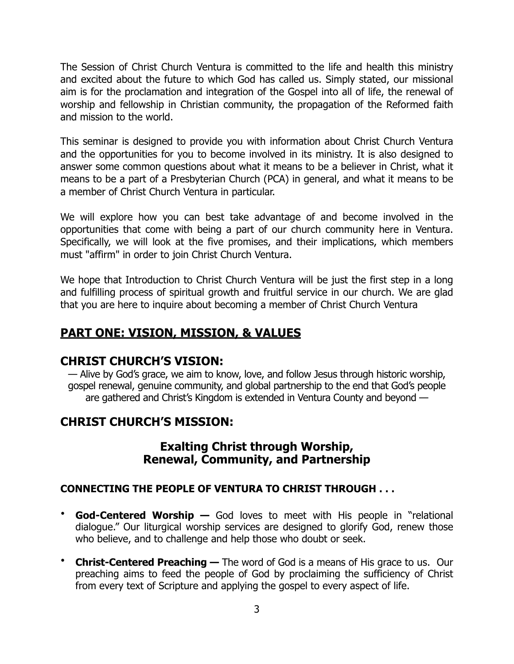The Session of Christ Church Ventura is committed to the life and health this ministry and excited about the future to which God has called us. Simply stated, our missional aim is for the proclamation and integration of the Gospel into all of life, the renewal of worship and fellowship in Christian community, the propagation of the Reformed faith and mission to the world.

This seminar is designed to provide you with information about Christ Church Ventura and the opportunities for you to become involved in its ministry. It is also designed to answer some common questions about what it means to be a believer in Christ, what it means to be a part of a Presbyterian Church (PCA) in general, and what it means to be a member of Christ Church Ventura in particular.

We will explore how you can best take advantage of and become involved in the opportunities that come with being a part of our church community here in Ventura. Specifically, we will look at the five promises, and their implications, which members must "affirm" in order to join Christ Church Ventura.

We hope that Introduction to Christ Church Ventura will be just the first step in a long and fulfilling process of spiritual growth and fruitful service in our church. We are glad that you are here to inquire about becoming a member of Christ Church Ventura

# **PART ONE: VISION, MISSION, & VALUES**

# **CHRIST CHURCH'S VISION:**

— Alive by God's grace, we aim to know, love, and follow Jesus through historic worship, gospel renewal, genuine community, and global partnership to the end that God's people are gathered and Christ's Kingdom is extended in Ventura County and beyond —

# **CHRIST CHURCH'S MISSION:**

# **Exalting Christ through Worship, Renewal, Community, and Partnership**

# **CONNECTING THE PEOPLE OF VENTURA TO CHRIST THROUGH . . .**

- **God-Centered Worship —** God loves to meet with His people in "relational dialogue." Our liturgical worship services are designed to glorify God, renew those who believe, and to challenge and help those who doubt or seek.
- **Christ-Centered Preaching —** The word of God is a means of His grace to us. Our preaching aims to feed the people of God by proclaiming the sufficiency of Christ from every text of Scripture and applying the gospel to every aspect of life.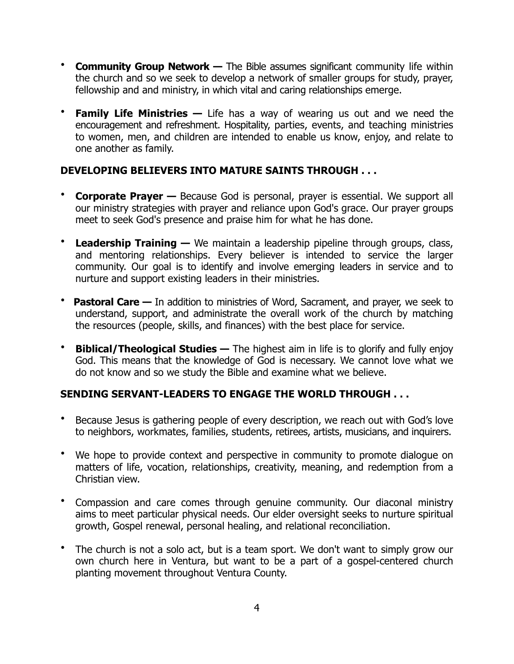- **Community Group Network —** The Bible assumes significant community life within the church and so we seek to develop a network of smaller groups for study, prayer, fellowship and and ministry, in which vital and caring relationships emerge.
- **Family Life Ministries —** Life has a way of wearing us out and we need the encouragement and refreshment. Hospitality, parties, events, and teaching ministries to women, men, and children are intended to enable us know, enjoy, and relate to one another as family.

#### **DEVELOPING BELIEVERS INTO MATURE SAINTS THROUGH . . .**

- **Corporate Prayer —** Because God is personal, prayer is essential. We support all our ministry strategies with prayer and reliance upon God's grace. Our prayer groups meet to seek God's presence and praise him for what he has done.
- **Leadership Training —** We maintain a leadership pipeline through groups, class, and mentoring relationships. Every believer is intended to service the larger community. Our goal is to identify and involve emerging leaders in service and to nurture and support existing leaders in their ministries.
- **Pastoral Care –** In addition to ministries of Word, Sacrament, and prayer, we seek to understand, support, and administrate the overall work of the church by matching the resources (people, skills, and finances) with the best place for service.
- **Biblical/Theological Studies —** The highest aim in life is to glorify and fully enjoy God. This means that the knowledge of God is necessary. We cannot love what we do not know and so we study the Bible and examine what we believe.

# **SENDING SERVANT-LEADERS TO ENGAGE THE WORLD THROUGH . . .**

- Because Jesus is gathering people of every description, we reach out with God's love to neighbors, workmates, families, students, retirees, artists, musicians, and inquirers.
- We hope to provide context and perspective in community to promote dialogue on matters of life, vocation, relationships, creativity, meaning, and redemption from a Christian view.
- Compassion and care comes through genuine community. Our diaconal ministry aims to meet particular physical needs. Our elder oversight seeks to nurture spiritual growth, Gospel renewal, personal healing, and relational reconciliation.
- The church is not a solo act, but is a team sport. We don't want to simply grow our own church here in Ventura, but want to be a part of a gospel-centered church planting movement throughout Ventura County.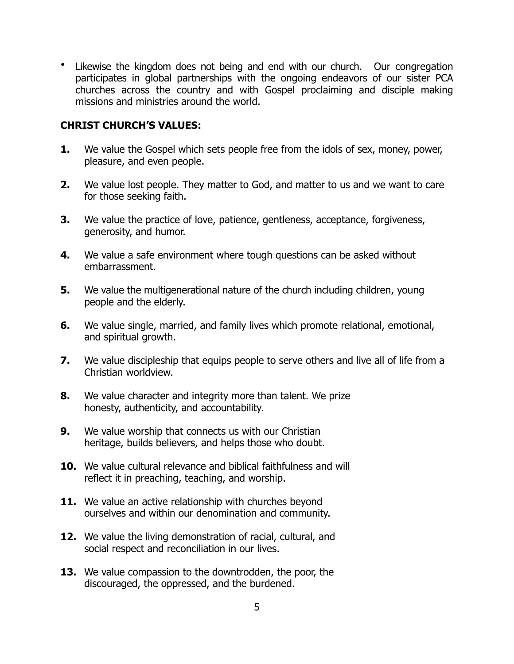• Likewise the kingdom does not being and end with our church. Our congregation participates in global partnerships with the ongoing endeavors of our sister PCA churches across the country and with Gospel proclaiming and disciple making missions and ministries around the world.

#### **CHRIST CHURCH'S VALUES:**

- **1.** We value the Gospel which sets people free from the idols of sex, money, power, pleasure, and even people.
- **2.** We value lost people. They matter to God, and matter to us and we want to care for those seeking faith.
- **3.** We value the practice of love, patience, gentleness, acceptance, forgiveness, generosity, and humor.
- **4.** We value a safe environment where tough questions can be asked without embarrassment.
- **5.** We value the multigenerational nature of the church including children, young people and the elderly.
- **6.** We value single, married, and family lives which promote relational, emotional, and spiritual growth.
- **7.** We value discipleship that equips people to serve others and live all of life from a Christian worldview.
- **8.** We value character and integrity more than talent. We prize honesty, authenticity, and accountability.
- **9.** We value worship that connects us with our Christian heritage, builds believers, and helps those who doubt.
- **10.** We value cultural relevance and biblical faithfulness and will reflect it in preaching, teaching, and worship.
- **11.** We value an active relationship with churches beyond ourselves and within our denomination and community.
- **12.** We value the living demonstration of racial, cultural, and social respect and reconciliation in our lives.
- **13.** We value compassion to the downtrodden, the poor, the discouraged, the oppressed, and the burdened.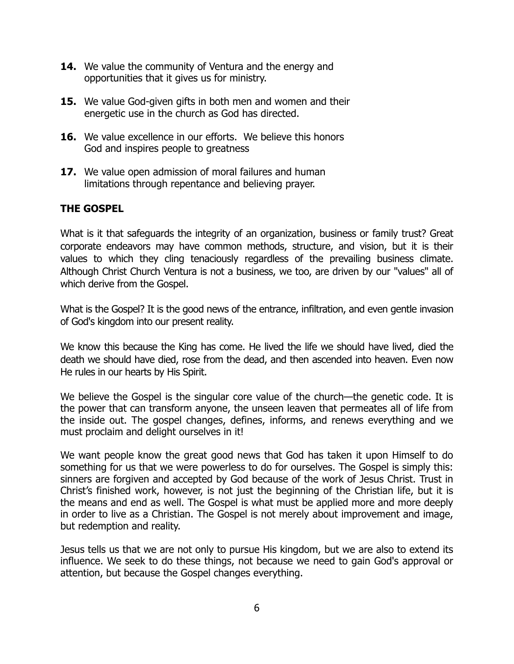- **14.** We value the community of Ventura and the energy and opportunities that it gives us for ministry.
- **15.** We value God-given gifts in both men and women and their energetic use in the church as God has directed.
- **16.** We value excellence in our efforts. We believe this honors God and inspires people to greatness
- **17.** We value open admission of moral failures and human limitations through repentance and believing prayer.

## **THE GOSPEL**

What is it that safeguards the integrity of an organization, business or family trust? Great corporate endeavors may have common methods, structure, and vision, but it is their values to which they cling tenaciously regardless of the prevailing business climate. Although Christ Church Ventura is not a business, we too, are driven by our "values" all of which derive from the Gospel.

What is the Gospel? It is the good news of the entrance, infiltration, and even gentle invasion of God's kingdom into our present reality.

We know this because the King has come. He lived the life we should have lived, died the death we should have died, rose from the dead, and then ascended into heaven. Even now He rules in our hearts by His Spirit.

We believe the Gospel is the singular core value of the church—the genetic code. It is the power that can transform anyone, the unseen leaven that permeates all of life from the inside out. The gospel changes, defines, informs, and renews everything and we must proclaim and delight ourselves in it!

We want people know the great good news that God has taken it upon Himself to do something for us that we were powerless to do for ourselves. The Gospel is simply this: sinners are forgiven and accepted by God because of the work of Jesus Christ. Trust in Christ's finished work, however, is not just the beginning of the Christian life, but it is the means and end as well. The Gospel is what must be applied more and more deeply in order to live as a Christian. The Gospel is not merely about improvement and image, but redemption and reality.

Jesus tells us that we are not only to pursue His kingdom, but we are also to extend its influence. We seek to do these things, not because we need to gain God's approval or attention, but because the Gospel changes everything.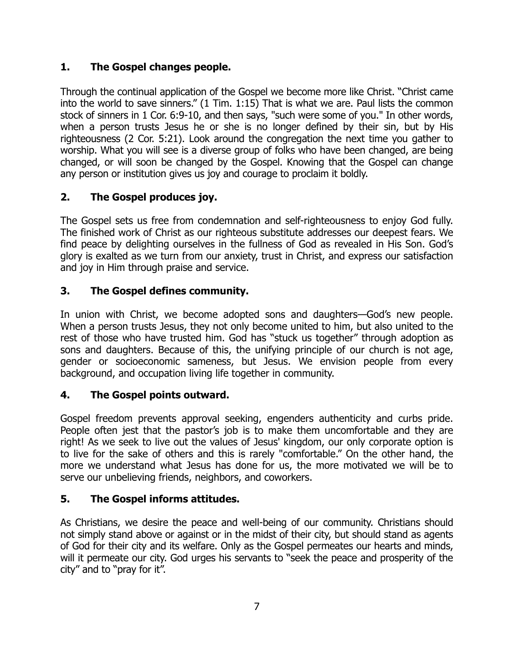## **1. The Gospel changes people.**

Through the continual application of the Gospel we become more like Christ. "Christ came into the world to save sinners." (1 Tim. 1:15) That is what we are. Paul lists the common stock of sinners in 1 Cor. 6:9-10, and then says, "such were some of you." In other words, when a person trusts Jesus he or she is no longer defined by their sin, but by His righteousness (2 Cor. 5:21). Look around the congregation the next time you gather to worship. What you will see is a diverse group of folks who have been changed, are being changed, or will soon be changed by the Gospel. Knowing that the Gospel can change any person or institution gives us joy and courage to proclaim it boldly.

# **2. The Gospel produces joy.**

The Gospel sets us free from condemnation and self-righteousness to enjoy God fully. The finished work of Christ as our righteous substitute addresses our deepest fears. We find peace by delighting ourselves in the fullness of God as revealed in His Son. God's glory is exalted as we turn from our anxiety, trust in Christ, and express our satisfaction and joy in Him through praise and service.

## **3. The Gospel defines community.**

In union with Christ, we become adopted sons and daughters—God's new people. When a person trusts Jesus, they not only become united to him, but also united to the rest of those who have trusted him. God has "stuck us together" through adoption as sons and daughters. Because of this, the unifying principle of our church is not age, gender or socioeconomic sameness, but Jesus. We envision people from every background, and occupation living life together in community.

# **4. The Gospel points outward.**

Gospel freedom prevents approval seeking, engenders authenticity and curbs pride. People often jest that the pastor's job is to make them uncomfortable and they are right! As we seek to live out the values of Jesus' kingdom, our only corporate option is to live for the sake of others and this is rarely "comfortable." On the other hand, the more we understand what Jesus has done for us, the more motivated we will be to serve our unbelieving friends, neighbors, and coworkers.

#### **5. The Gospel informs attitudes.**

As Christians, we desire the peace and well-being of our community. Christians should not simply stand above or against or in the midst of their city, but should stand as agents of God for their city and its welfare. Only as the Gospel permeates our hearts and minds, will it permeate our city. God urges his servants to "seek the peace and prosperity of the city" and to "pray for it".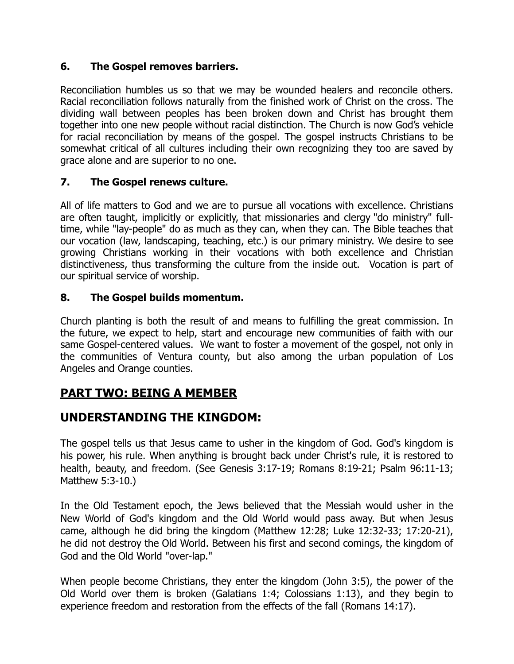# **6. The Gospel removes barriers.**

Reconciliation humbles us so that we may be wounded healers and reconcile others. Racial reconciliation follows naturally from the finished work of Christ on the cross. The dividing wall between peoples has been broken down and Christ has brought them together into one new people without racial distinction. The Church is now God's vehicle for racial reconciliation by means of the gospel. The gospel instructs Christians to be somewhat critical of all cultures including their own recognizing they too are saved by grace alone and are superior to no one.

## **7. The Gospel renews culture.**

All of life matters to God and we are to pursue all vocations with excellence. Christians are often taught, implicitly or explicitly, that missionaries and clergy "do ministry" fulltime, while "lay-people" do as much as they can, when they can. The Bible teaches that our vocation (law, landscaping, teaching, etc.) is our primary ministry. We desire to see growing Christians working in their vocations with both excellence and Christian distinctiveness, thus transforming the culture from the inside out. Vocation is part of our spiritual service of worship.

## **8. The Gospel builds momentum.**

Church planting is both the result of and means to fulfilling the great commission. In the future, we expect to help, start and encourage new communities of faith with our same Gospel-centered values. We want to foster a movement of the gospel, not only in the communities of Ventura county, but also among the urban population of Los Angeles and Orange counties.

# **PART TWO: BEING A MEMBER**

# **UNDERSTANDING THE KINGDOM:**

The gospel tells us that Jesus came to usher in the kingdom of God. God's kingdom is his power, his rule. When anything is brought back under Christ's rule, it is restored to health, beauty, and freedom. (See Genesis 3:17-19; Romans 8:19-21; Psalm 96:11-13; Matthew 5:3-10.)

In the Old Testament epoch, the Jews believed that the Messiah would usher in the New World of God's kingdom and the Old World would pass away. But when Jesus came, although he did bring the kingdom (Matthew 12:28; Luke 12:32-33; 17:20-21), he did not destroy the Old World. Between his first and second comings, the kingdom of God and the Old World "over-lap."

When people become Christians, they enter the kingdom (John 3:5), the power of the Old World over them is broken (Galatians 1:4; Colossians 1:13), and they begin to experience freedom and restoration from the effects of the fall (Romans 14:17).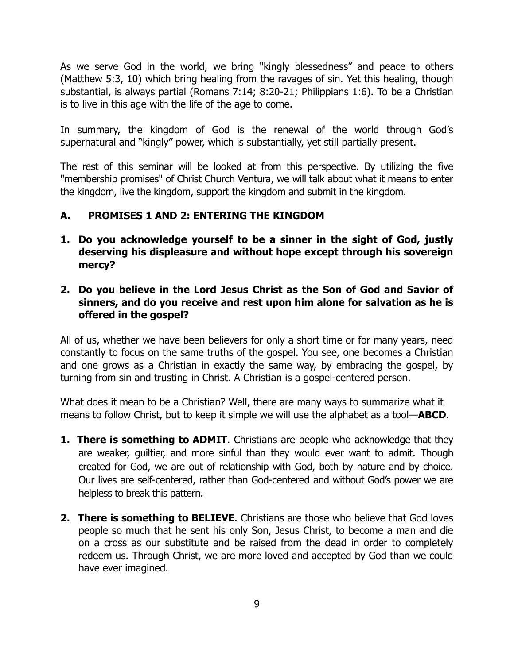As we serve God in the world, we bring "kingly blessedness" and peace to others (Matthew 5:3, 10) which bring healing from the ravages of sin. Yet this healing, though substantial, is always partial (Romans 7:14; 8:20-21; Philippians 1:6). To be a Christian is to live in this age with the life of the age to come.

In summary, the kingdom of God is the renewal of the world through God's supernatural and "kingly" power, which is substantially, yet still partially present.

The rest of this seminar will be looked at from this perspective. By utilizing the five "membership promises" of Christ Church Ventura, we will talk about what it means to enter the kingdom, live the kingdom, support the kingdom and submit in the kingdom.

# **A. PROMISES 1 AND 2: ENTERING THE KINGDOM**

- **1. Do you acknowledge yourself to be a sinner in the sight of God, justly deserving his displeasure and without hope except through his sovereign mercy?**
- **2. Do you believe in the Lord Jesus Christ as the Son of God and Savior of sinners, and do you receive and rest upon him alone for salvation as he is offered in the gospel?**

All of us, whether we have been believers for only a short time or for many years, need constantly to focus on the same truths of the gospel. You see, one becomes a Christian and one grows as a Christian in exactly the same way, by embracing the gospel, by turning from sin and trusting in Christ. A Christian is a gospel-centered person.

What does it mean to be a Christian? Well, there are many ways to summarize what it means to follow Christ, but to keep it simple we will use the alphabet as a tool—**ABCD**.

- **1. There is something to ADMIT**. Christians are people who acknowledge that they are weaker, guiltier, and more sinful than they would ever want to admit. Though created for God, we are out of relationship with God, both by nature and by choice. Our lives are self-centered, rather than God-centered and without God's power we are helpless to break this pattern.
- **2. There is something to BELIEVE**. Christians are those who believe that God loves people so much that he sent his only Son, Jesus Christ, to become a man and die on a cross as our substitute and be raised from the dead in order to completely redeem us. Through Christ, we are more loved and accepted by God than we could have ever imagined.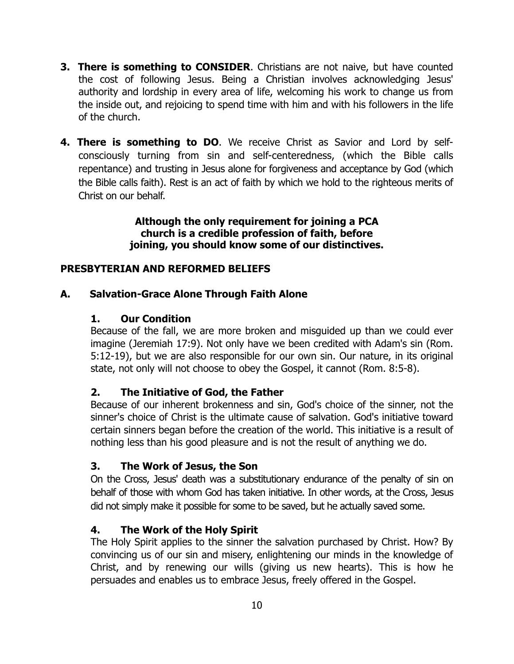- **3. There is something to CONSIDER.** Christians are not naive, but have counted the cost of following Jesus. Being a Christian involves acknowledging Jesus' authority and lordship in every area of life, welcoming his work to change us from the inside out, and rejoicing to spend time with him and with his followers in the life of the church.
- **4. There is something to DO**. We receive Christ as Savior and Lord by selfconsciously turning from sin and self-centeredness, (which the Bible calls repentance) and trusting in Jesus alone for forgiveness and acceptance by God (which the Bible calls faith). Rest is an act of faith by which we hold to the righteous merits of Christ on our behalf.

#### **Although the only requirement for joining a PCA church is a credible profession of faith, before joining, you should know some of our distinctives.**

# **PRESBYTERIAN AND REFORMED BELIEFS**

## **A. Salvation-Grace Alone Through Faith Alone**

#### **1. Our Condition**

Because of the fall, we are more broken and misguided up than we could ever imagine (Jeremiah 17:9). Not only have we been credited with Adam's sin (Rom. 5:12-19), but we are also responsible for our own sin. Our nature, in its original state, not only will not choose to obey the Gospel, it cannot (Rom. 8:5-8).

#### **2. The Initiative of God, the Father**

Because of our inherent brokenness and sin, God's choice of the sinner, not the sinner's choice of Christ is the ultimate cause of salvation. God's initiative toward certain sinners began before the creation of the world. This initiative is a result of nothing less than his good pleasure and is not the result of anything we do.

#### **3. The Work of Jesus, the Son**

On the Cross, Jesus' death was a substitutionary endurance of the penalty of sin on behalf of those with whom God has taken initiative. In other words, at the Cross, Jesus did not simply make it possible for some to be saved, but he actually saved some.

#### **4. The Work of the Holy Spirit**

The Holy Spirit applies to the sinner the salvation purchased by Christ. How? By convincing us of our sin and misery, enlightening our minds in the knowledge of Christ, and by renewing our wills (giving us new hearts). This is how he persuades and enables us to embrace Jesus, freely offered in the Gospel.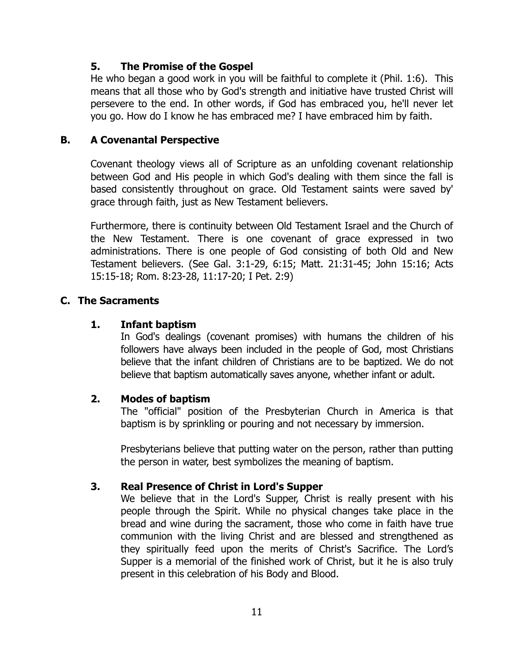#### **5. The Promise of the Gospel**

He who began a good work in you will be faithful to complete it (Phil. 1:6). This means that all those who by God's strength and initiative have trusted Christ will persevere to the end. In other words, if God has embraced you, he'll never let you go. How do I know he has embraced me? I have embraced him by faith.

#### **B. A Covenantal Perspective**

Covenant theology views all of Scripture as an unfolding covenant relationship between God and His people in which God's dealing with them since the fall is based consistently throughout on grace. Old Testament saints were saved by' grace through faith, just as New Testament believers.

Furthermore, there is continuity between Old Testament Israel and the Church of the New Testament. There is one covenant of grace expressed in two administrations. There is one people of God consisting of both Old and New Testament believers. (See Gal. 3:1-29, 6:15; Matt. 21:31-45; John 15:16; Acts 15:15-18; Rom. 8:23-28, 11:17-20; I Pet. 2:9)

## **C. The Sacraments**

## **1. Infant baptism**

In God's dealings (covenant promises) with humans the children of his followers have always been included in the people of God, most Christians believe that the infant children of Christians are to be baptized. We do not believe that baptism automatically saves anyone, whether infant or adult.

#### **2. Modes of baptism**

The "official" position of the Presbyterian Church in America is that baptism is by sprinkling or pouring and not necessary by immersion.

Presbyterians believe that putting water on the person, rather than putting the person in water, best symbolizes the meaning of baptism.

# **3. Real Presence of Christ in Lord's Supper**

We believe that in the Lord's Supper, Christ is really present with his people through the Spirit. While no physical changes take place in the bread and wine during the sacrament, those who come in faith have true communion with the living Christ and are blessed and strengthened as they spiritually feed upon the merits of Christ's Sacrifice. The Lord's Supper is a memorial of the finished work of Christ, but it he is also truly present in this celebration of his Body and Blood.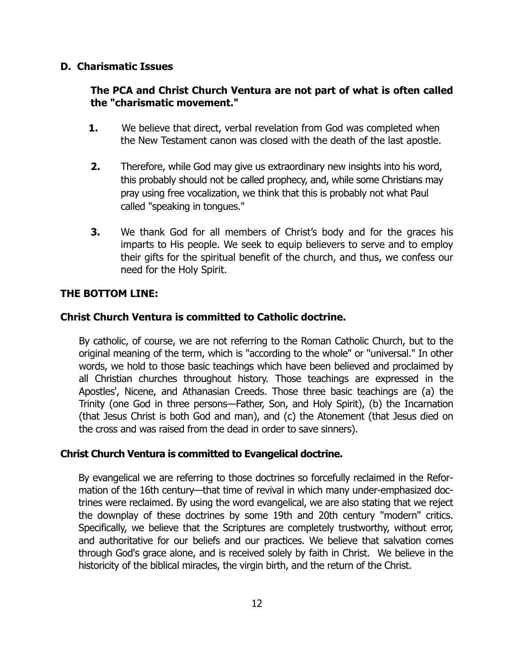#### **D. Charismatic Issues**

#### **The PCA and Christ Church Ventura are not part of what is often called the "charismatic movement."**

- **1.** We believe that direct, verbal revelation from God was completed when the New Testament canon was closed with the death of the last apostle.
- **2.** Therefore, while God may give us extraordinary new insights into his word, this probably should not be called prophecy, and, while some Christians may pray using free vocalization, we think that this is probably not what Paul called "speaking in tongues."
- **3.** We thank God for all members of Christ's body and for the graces his imparts to His people. We seek to equip believers to serve and to employ their gifts for the spiritual benefit of the church, and thus, we confess our need for the Holy Spirit.

## **THE BOTTOM LINE:**

## **Christ Church Ventura is committed to Catholic doctrine.**

By catholic, of course, we are not referring to the Roman Catholic Church, but to the original meaning of the term, which is "according to the whole" or "universal." In other words, we hold to those basic teachings which have been believed and proclaimed by all Christian churches throughout history. Those teachings are expressed in the Apostles', Nicene, and Athanasian Creeds. Those three basic teachings are (a) the Trinity (one God in three persons—Father, Son, and Holy Spirit), (b) the Incarnation (that Jesus Christ is both God and man), and (c) the Atonement (that Jesus died on the cross and was raised from the dead in order to save sinners).

#### **Christ Church Ventura is committed to Evangelical doctrine.**

By evangelical we are referring to those doctrines so forcefully reclaimed in the Reformation of the 16th century—that time of revival in which many under-emphasized doctrines were reclaimed. By using the word evangelical, we are also stating that we reject the downplay of these doctrines by some 19th and 20th century "modern" critics. Specifically, we believe that the Scriptures are completely trustworthy, without error, and authoritative for our beliefs and our practices. We believe that salvation comes through God's grace alone, and is received solely by faith in Christ. We believe in the historicity of the biblical miracles, the virgin birth, and the return of the Christ.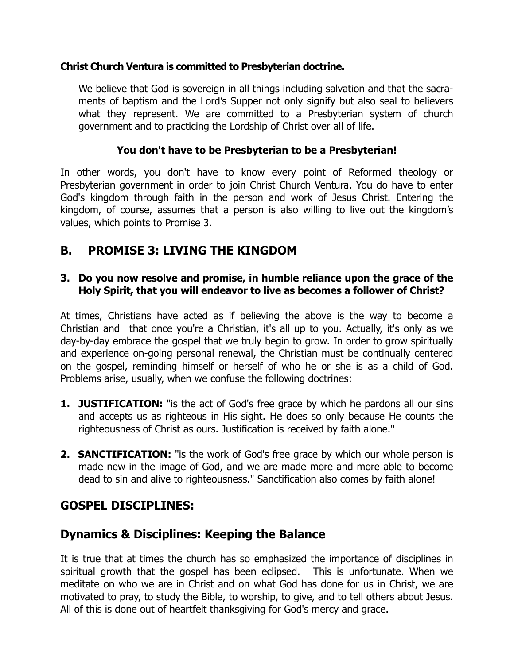## **Christ Church Ventura is committed to Presbyterian doctrine.**

We believe that God is sovereign in all things including salvation and that the sacraments of baptism and the Lord's Supper not only signify but also seal to believers what they represent. We are committed to a Presbyterian system of church government and to practicing the Lordship of Christ over all of life.

# **You don't have to be Presbyterian to be a Presbyterian!**

In other words, you don't have to know every point of Reformed theology or Presbyterian government in order to join Christ Church Ventura. You do have to enter God's kingdom through faith in the person and work of Jesus Christ. Entering the kingdom, of course, assumes that a person is also willing to live out the kingdom's values, which points to Promise 3.

# **B. PROMISE 3: LIVING THE KINGDOM**

## **3. Do you now resolve and promise, in humble reliance upon the grace of the Holy Spirit, that you will endeavor to live as becomes a follower of Christ?**

At times, Christians have acted as if believing the above is the way to become a Christian and that once you're a Christian, it's all up to you. Actually, it's only as we day-by-day embrace the gospel that we truly begin to grow. In order to grow spiritually and experience on-going personal renewal, the Christian must be continually centered on the gospel, reminding himself or herself of who he or she is as a child of God. Problems arise, usually, when we confuse the following doctrines:

- **1. JUSTIFICATION:** "is the act of God's free grace by which he pardons all our sins and accepts us as righteous in His sight. He does so only because He counts the righteousness of Christ as ours. Justification is received by faith alone."
- **2. SANCTIFICATION:** "is the work of God's free grace by which our whole person is made new in the image of God, and we are made more and more able to become dead to sin and alive to righteousness." Sanctification also comes by faith alone!

# **GOSPEL DISCIPLINES:**

# **Dynamics & Disciplines: Keeping the Balance**

It is true that at times the church has so emphasized the importance of disciplines in spiritual growth that the gospel has been eclipsed. This is unfortunate. When we meditate on who we are in Christ and on what God has done for us in Christ, we are motivated to pray, to study the Bible, to worship, to give, and to tell others about Jesus. All of this is done out of heartfelt thanksgiving for God's mercy and grace.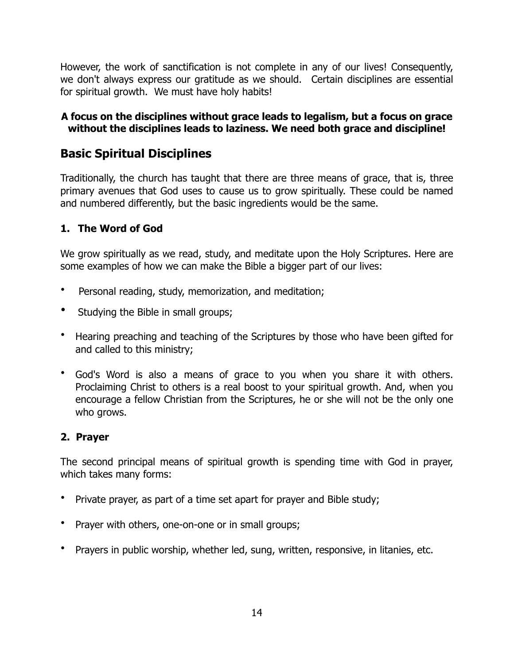However, the work of sanctification is not complete in any of our lives! Consequently, we don't always express our gratitude as we should. Certain disciplines are essential for spiritual growth. We must have holy habits!

#### **A focus on the disciplines without grace leads to legalism, but a focus on grace without the disciplines leads to laziness. We need both grace and discipline!**

# **Basic Spiritual Disciplines**

Traditionally, the church has taught that there are three means of grace, that is, three primary avenues that God uses to cause us to grow spiritually. These could be named and numbered differently, but the basic ingredients would be the same.

# **1. The Word of God**

We grow spiritually as we read, study, and meditate upon the Holy Scriptures. Here are some examples of how we can make the Bible a bigger part of our lives:

- Personal reading, study, memorization, and meditation;
- Studying the Bible in small groups;
- Hearing preaching and teaching of the Scriptures by those who have been gifted for and called to this ministry;
- God's Word is also a means of grace to you when you share it with others. Proclaiming Christ to others is a real boost to your spiritual growth. And, when you encourage a fellow Christian from the Scriptures, he or she will not be the only one who grows.

# **2. Prayer**

The second principal means of spiritual growth is spending time with God in prayer, which takes many forms:

- Private prayer, as part of a time set apart for prayer and Bible study;
- Prayer with others, one-on-one or in small groups;
- Prayers in public worship, whether led, sung, written, responsive, in litanies, etc.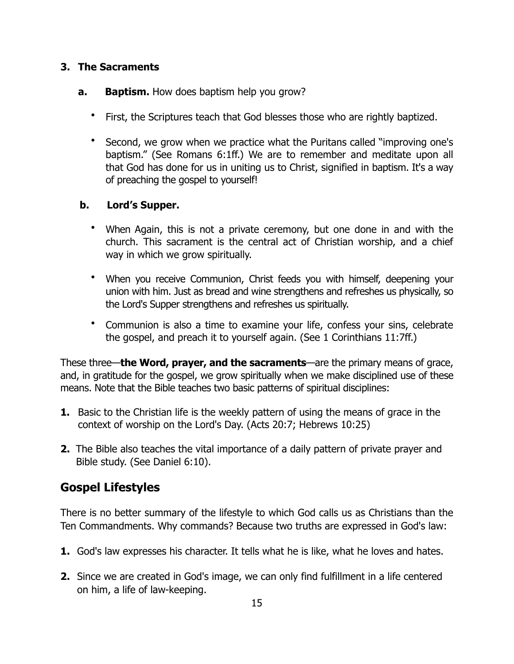## **3. The Sacraments**

#### **a.** Baptism. How does baptism help you grow?

- First, the Scriptures teach that God blesses those who are rightly baptized.
- Second, we grow when we practice what the Puritans called "improving one's baptism." (See Romans 6:1ff.) We are to remember and meditate upon all that God has done for us in uniting us to Christ, signified in baptism. It's a way of preaching the gospel to yourself!

## **b. Lord's Supper.**

- When Again, this is not a private ceremony, but one done in and with the church. This sacrament is the central act of Christian worship, and a chief way in which we grow spiritually.
- When you receive Communion, Christ feeds you with himself, deepening your union with him. Just as bread and wine strengthens and refreshes us physically, so the Lord's Supper strengthens and refreshes us spiritually.
- Communion is also a time to examine your life, confess your sins, celebrate the gospel, and preach it to yourself again. (See 1 Corinthians 11:7ff.)

These three—**the Word, prayer, and the sacraments**—are the primary means of grace, and, in gratitude for the gospel, we grow spiritually when we make disciplined use of these means. Note that the Bible teaches two basic patterns of spiritual disciplines:

- **1.** Basic to the Christian life is the weekly pattern of using the means of grace in the context of worship on the Lord's Day. (Acts 20:7; Hebrews 10:25)
- **2.** The Bible also teaches the vital importance of a daily pattern of private prayer and Bible study. (See Daniel 6:10).

# **Gospel Lifestyles**

There is no better summary of the lifestyle to which God calls us as Christians than the Ten Commandments. Why commands? Because two truths are expressed in God's law:

- **1.** God's law expresses his character. It tells what he is like, what he loves and hates.
- **2.** Since we are created in God's image, we can only find fulfillment in a life centered on him, a life of law-keeping.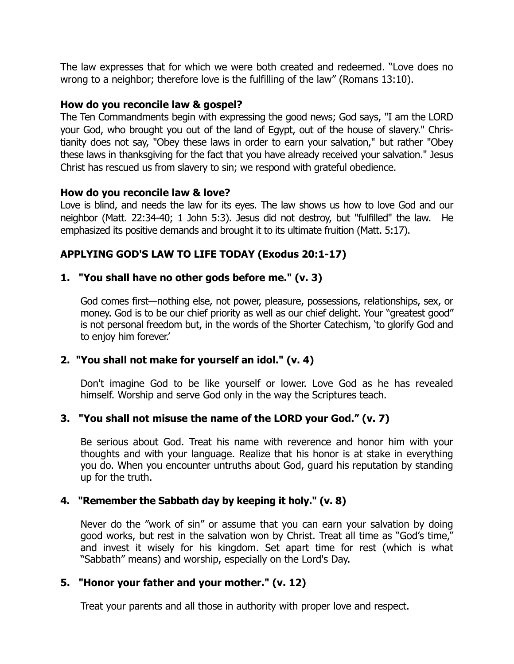The law expresses that for which we were both created and redeemed. "Love does no wrong to a neighbor; therefore love is the fulfilling of the law" (Romans 13:10).

#### **How do you reconcile law & gospel?**

The Ten Commandments begin with expressing the good news; God says, "I am the LORD your God, who brought you out of the land of Egypt, out of the house of slavery." Christianity does not say, "Obey these laws in order to earn your salvation," but rather "Obey these laws in thanksgiving for the fact that you have already received your salvation." Jesus Christ has rescued us from slavery to sin; we respond with grateful obedience.

#### **How do you reconcile law & love?**

Love is blind, and needs the law for its eyes. The law shows us how to love God and our neighbor (Matt. 22:34-40; 1 John 5:3). Jesus did not destroy, but "fulfilled" the law. He emphasized its positive demands and brought it to its ultimate fruition (Matt. 5:17).

# **APPLYING GOD'S LAW TO LIFE TODAY (Exodus 20:1-17)**

#### **1. "You shall have no other gods before me." (v. 3)**

God comes first—nothing else, not power, pleasure, possessions, relationships, sex, or money. God is to be our chief priority as well as our chief delight. Your "greatest good" is not personal freedom but, in the words of the Shorter Catechism, 'to glorify God and to enjoy him forever.'

#### **2. "You shall not make for yourself an idol." (v. 4)**

Don't imagine God to be like yourself or lower. Love God as he has revealed himself. Worship and serve God only in the way the Scriptures teach.

#### **3. "You shall not misuse the name of the LORD your God." (v. 7)**

Be serious about God. Treat his name with reverence and honor him with your thoughts and with your language. Realize that his honor is at stake in everything you do. When you encounter untruths about God, guard his reputation by standing up for the truth.

#### **4. "Remember the Sabbath day by keeping it holy." (v. 8)**

Never do the "work of sin" or assume that you can earn your salvation by doing good works, but rest in the salvation won by Christ. Treat all time as "God's time," and invest it wisely for his kingdom. Set apart time for rest (which is what "Sabbath" means) and worship, especially on the Lord's Day.

#### **5. "Honor your father and your mother." (v. 12)**

Treat your parents and all those in authority with proper love and respect.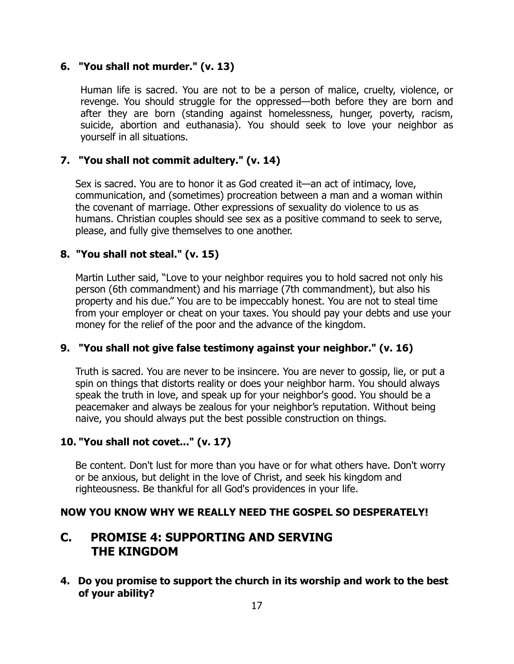#### **6. "You shall not murder." (v. 13)**

Human life is sacred. You are not to be a person of malice, cruelty, violence, or revenge. You should struggle for the oppressed—both before they are born and after they are born (standing against homelessness, hunger, poverty, racism, suicide, abortion and euthanasia). You should seek to love your neighbor as yourself in all situations.

#### **7. "You shall not commit adultery." (v. 14)**

Sex is sacred. You are to honor it as God created it—an act of intimacy, love, communication, and (sometimes) procreation between a man and a woman within the covenant of marriage. Other expressions of sexuality do violence to us as humans. Christian couples should see sex as a positive command to seek to serve, please, and fully give themselves to one another.

#### **8. "You shall not steal." (v. 15)**

Martin Luther said, "Love to your neighbor requires you to hold sacred not only his person (6th commandment) and his marriage (7th commandment), but also his property and his due." You are to be impeccably honest. You are not to steal time from your employer or cheat on your taxes. You should pay your debts and use your money for the relief of the poor and the advance of the kingdom.

#### **9. "You shall not give false testimony against your neighbor." (v. 16)**

Truth is sacred. You are never to be insincere. You are never to gossip, lie, or put a spin on things that distorts reality or does your neighbor harm. You should always speak the truth in love, and speak up for your neighbor's good. You should be a peacemaker and always be zealous for your neighbor's reputation. Without being naive, you should always put the best possible construction on things.

#### **10. "You shall not covet..." (v. 17)**

Be content. Don't lust for more than you have or for what others have. Don't worry or be anxious, but delight in the love of Christ, and seek his kingdom and righteousness. Be thankful for all God's providences in your life.

#### **NOW YOU KNOW WHY WE REALLY NEED THE GOSPEL SO DESPERATELY!**

# **C. PROMISE 4: SUPPORTING AND SERVING THE KINGDOM**

**4. Do you promise to support the church in its worship and work to the best of your ability?**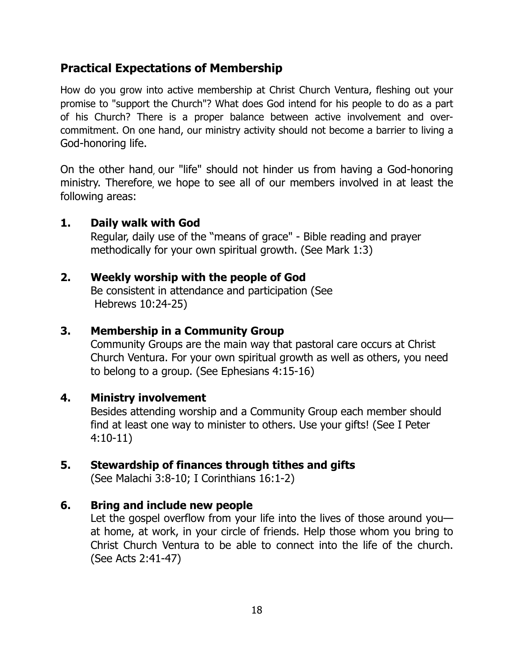# **Practical Expectations of Membership**

How do you grow into active membership at Christ Church Ventura, fleshing out your promise to "support the Church"? What does God intend for his people to do as a part of his Church? There is a proper balance between active involvement and overcommitment. On one hand, our ministry activity should not become a barrier to living a God-honoring life.

On the other hand, our "life" should not hinder us from having a God-honoring ministry. Therefore, we hope to see all of our members involved in at least the following areas:

# **1. Daily walk with God**

Regular, daily use of the "means of grace" - Bible reading and prayer methodically for your own spiritual growth. (See Mark 1:3)

# **2. Weekly worship with the people of God**

 Be consistent in attendance and participation (See Hebrews 10:24-25)

# **3. Membership in a Community Group**

Community Groups are the main way that pastoral care occurs at Christ Church Ventura. For your own spiritual growth as well as others, you need to belong to a group. (See Ephesians 4:15-16)

# **4. Ministry involvement**

Besides attending worship and a Community Group each member should find at least one way to minister to others. Use your gifts! (See I Peter 4:10-11)

# **5. Stewardship of finances through tithes and gifts**

(See Malachi 3:8-10; I Corinthians 16:1-2)

# **6. Bring and include new people**

Let the gospel overflow from your life into the lives of those around youat home, at work, in your circle of friends. Help those whom you bring to Christ Church Ventura to be able to connect into the life of the church. (See Acts 2:41-47)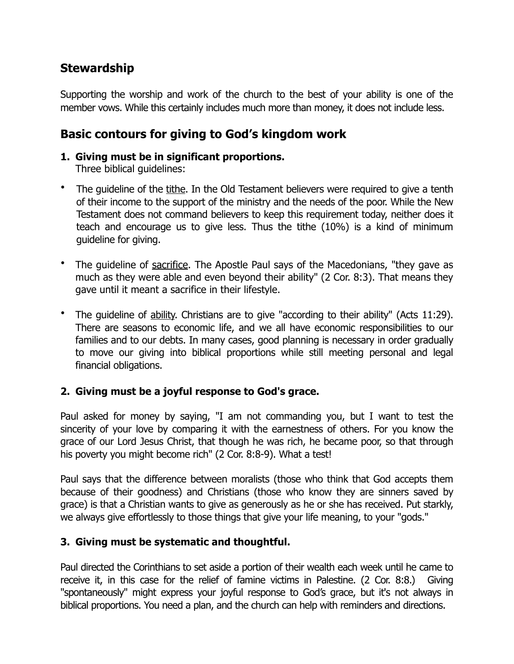# **Stewardship**

Supporting the worship and work of the church to the best of your ability is one of the member vows. While this certainly includes much more than money, it does not include less.

# **Basic contours for giving to God's kingdom work**

# **1. Giving must be in significant proportions.**

- Three biblical guidelines:
- The guideline of the tithe. In the Old Testament believers were required to give a tenth of their income to the support of the ministry and the needs of the poor. While the New Testament does not command believers to keep this requirement today, neither does it teach and encourage us to give less. Thus the tithe (10%) is a kind of minimum guideline for giving.
- The guideline of sacrifice. The Apostle Paul says of the Macedonians, "they gave as much as they were able and even beyond their ability" (2 Cor. 8:3). That means they gave until it meant a sacrifice in their lifestyle.
- The guideline of ability. Christians are to give "according to their ability" (Acts 11:29). There are seasons to economic life, and we all have economic responsibilities to our families and to our debts. In many cases, good planning is necessary in order gradually to move our giving into biblical proportions while still meeting personal and legal financial obligations.

# **2. Giving must be a joyful response to God's grace.**

Paul asked for money by saying, "I am not commanding you, but I want to test the sincerity of your love by comparing it with the earnestness of others. For you know the grace of our Lord Jesus Christ, that though he was rich, he became poor, so that through his poverty you might become rich" (2 Cor. 8:8-9). What a test!

Paul says that the difference between moralists (those who think that God accepts them because of their goodness) and Christians (those who know they are sinners saved by grace) is that a Christian wants to give as generously as he or she has received. Put starkly, we always give effortlessly to those things that give your life meaning, to your "gods."

# **3. Giving must be systematic and thoughtful.**

Paul directed the Corinthians to set aside a portion of their wealth each week until he came to receive it, in this case for the relief of famine victims in Palestine. (2 Cor. 8:8.) Giving "spontaneously" might express your joyful response to God's grace, but it's not always in biblical proportions. You need a plan, and the church can help with reminders and directions.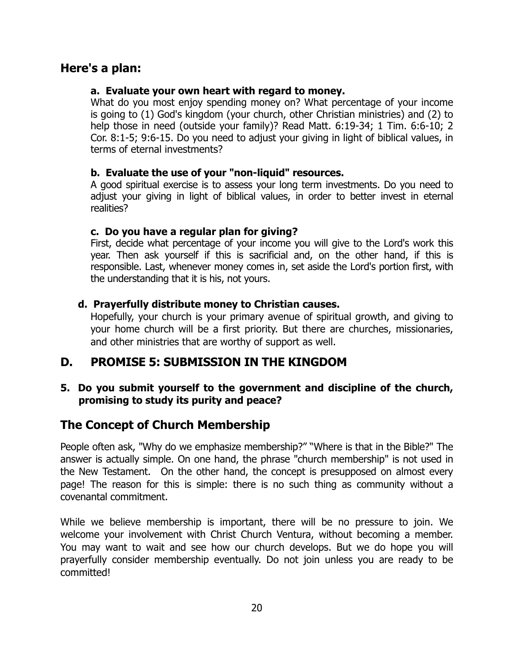# **Here's a plan:**

#### **a. Evaluate your own heart with regard to money.**

What do you most enjoy spending money on? What percentage of your income is going to (1) God's kingdom (your church, other Christian ministries) and (2) to help those in need (outside your family)? Read Matt. 6:19-34; 1 Tim. 6:6-10; 2 Cor. 8:1-5; 9:6-15. Do you need to adjust your giving in light of biblical values, in terms of eternal investments?

#### **b. Evaluate the use of your "non-liquid" resources.**

A good spiritual exercise is to assess your long term investments. Do you need to adjust your giving in light of biblical values, in order to better invest in eternal realities?

## **c. Do you have a regular plan for giving?**

First, decide what percentage of your income you will give to the Lord's work this year. Then ask yourself if this is sacrificial and, on the other hand, if this is responsible. Last, whenever money comes in, set aside the Lord's portion first, with the understanding that it is his, not yours.

# **d. Prayerfully distribute money to Christian causes.**

Hopefully, your church is your primary avenue of spiritual growth, and giving to your home church will be a first priority. But there are churches, missionaries, and other ministries that are worthy of support as well.

# **D. PROMISE 5: SUBMISSION IN THE KINGDOM**

## **5. Do you submit yourself to the government and discipline of the church, promising to study its purity and peace?**

# **The Concept of Church Membership**

People often ask, "Why do we emphasize membership?" "Where is that in the Bible?" The answer is actually simple. On one hand, the phrase "church membership" is not used in the New Testament. On the other hand, the concept is presupposed on almost every page! The reason for this is simple: there is no such thing as community without a covenantal commitment.

While we believe membership is important, there will be no pressure to join. We welcome your involvement with Christ Church Ventura, without becoming a member. You may want to wait and see how our church develops. But we do hope you will prayerfully consider membership eventually. Do not join unless you are ready to be committed!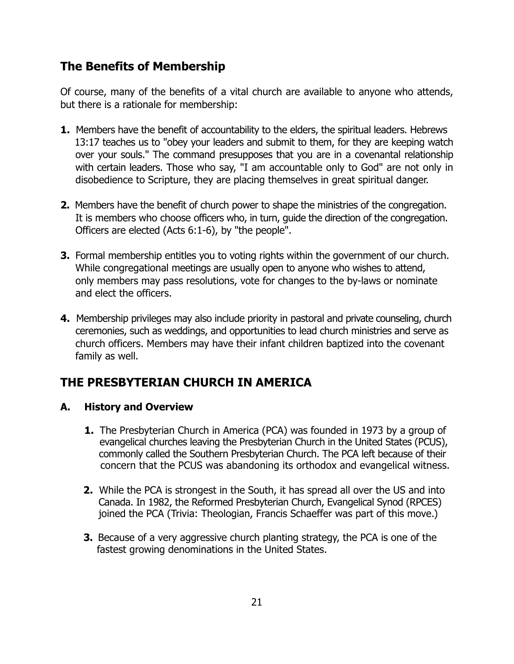# **The Benefits of Membership**

Of course, many of the benefits of a vital church are available to anyone who attends, but there is a rationale for membership:

- **1.** Members have the benefit of accountability to the elders, the spiritual leaders. Hebrews 13:17 teaches us to "obey your leaders and submit to them, for they are keeping watch over your souls." The command presupposes that you are in a covenantal relationship with certain leaders. Those who say, "I am accountable only to God" are not only in disobedience to Scripture, they are placing themselves in great spiritual danger.
- **2.** Members have the benefit of church power to shape the ministries of the congregation. It is members who choose officers who, in turn, guide the direction of the congregation. Officers are elected (Acts 6:1-6), by "the people".
- **3.** Formal membership entitles you to voting rights within the government of our church. While congregational meetings are usually open to anyone who wishes to attend, only members may pass resolutions, vote for changes to the by-laws or nominate and elect the officers.
- **4.** Membership privileges may also include priority in pastoral and private counseling, church ceremonies, such as weddings, and opportunities to lead church ministries and serve as church officers. Members may have their infant children baptized into the covenant family as well.

# **THE PRESBYTERIAN CHURCH IN AMERICA**

# **A. History and Overview**

- **1.** The Presbyterian Church in America (PCA) was founded in 1973 by a group of evangelical churches leaving the Presbyterian Church in the United States (PCUS), commonly called the Southern Presbyterian Church. The PCA left because of their concern that the PCUS was abandoning its orthodox and evangelical witness.
- **2.** While the PCA is strongest in the South, it has spread all over the US and into Canada. In 1982, the Reformed Presbyterian Church, Evangelical Synod (RPCES) joined the PCA (Trivia: Theologian, Francis Schaeffer was part of this move.)
- **3.** Because of a very aggressive church planting strategy, the PCA is one of the fastest growing denominations in the United States.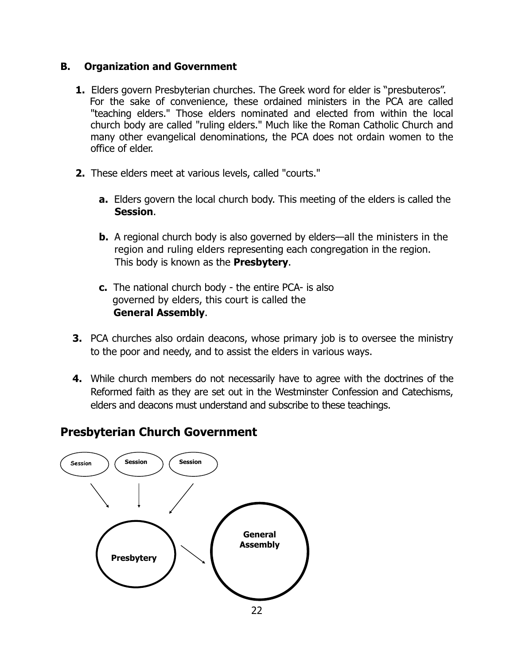#### **B. Organization and Government**

- **1.** Elders govern Presbyterian churches. The Greek word for elder is "presbuteros". For the sake of convenience, these ordained ministers in the PCA are called "teaching elders." Those elders nominated and elected from within the local church body are called "ruling elders." Much like the Roman Catholic Church and many other evangelical denominations, the PCA does not ordain women to the office of elder.
- **2.** These elders meet at various levels, called "courts."
	- **a.** Elders govern the local church body. This meeting of the elders is called the **Session**.
	- **b.** A regional church body is also governed by elders—all the ministers in the region and ruling elders representing each congregation in the region. This body is known as the **Presbytery**.
	- **c.** The national church body the entire PCA- is also governed by elders, this court is called the **General Assembly**.
- **3.** PCA churches also ordain deacons, whose primary job is to oversee the ministry to the poor and needy, and to assist the elders in various ways.
- **4.** While church members do not necessarily have to agree with the doctrines of the Reformed faith as they are set out in the Westminster Confession and Catechisms, elders and deacons must understand and subscribe to these teachings.

# **Presbyterian Church Government**

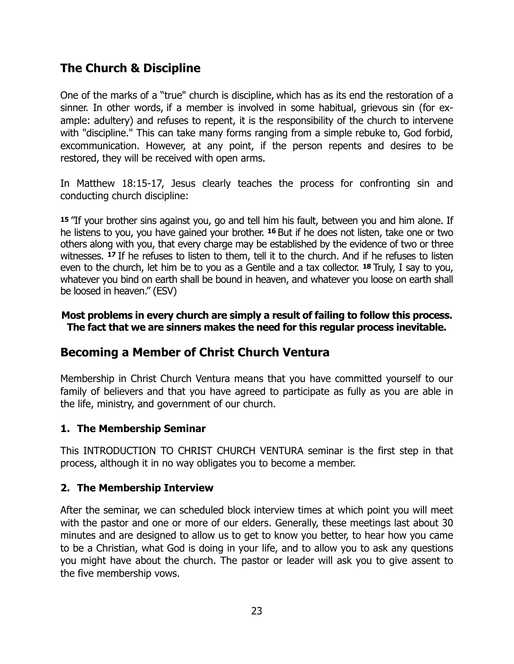# **The Church & Discipline**

One of the marks of a "true" church is discipline, which has as its end the restoration of a sinner. In other words, if a member is involved in some habitual, grievous sin (for example: adultery) and refuses to repent, it is the responsibility of the church to intervene with "discipline." This can take many forms ranging from a simple rebuke to, God forbid, excommunication. However, at any point, if the person repents and desires to be restored, they will be received with open arms.

In Matthew 18:15-17, Jesus clearly teaches the process for confronting sin and conducting church discipline:

**<sup>15</sup>**"If your brother sins against you, go and tell him his fault, between you and him alone. If he listens to you, you have gained your brother. **16** But if he does not listen, take one or two others along with you, that every charge may be established by the evidence of two or three witnesses. **17** If he refuses to listen to them, tell it to the church. And if he refuses to listen even to the church, let him be to you as a Gentile and a tax collector. **18** Truly, I say to you, whatever you bind on earth shall be bound in heaven, and whatever you loose on earth shall be loosed in heaven." (ESV)

#### **Most problems in every church are simply a result of failing to follow this process. The fact that we are sinners makes the need for this regular process inevitable.**

# **Becoming a Member of Christ Church Ventura**

Membership in Christ Church Ventura means that you have committed yourself to our family of believers and that you have agreed to participate as fully as you are able in the life, ministry, and government of our church.

#### **1. The Membership Seminar**

This INTRODUCTION TO CHRIST CHURCH VENTURA seminar is the first step in that process, although it in no way obligates you to become a member.

#### **2. The Membership Interview**

After the seminar, we can scheduled block interview times at which point you will meet with the pastor and one or more of our elders. Generally, these meetings last about 30 minutes and are designed to allow us to get to know you better, to hear how you came to be a Christian, what God is doing in your life, and to allow you to ask any questions you might have about the church. The pastor or leader will ask you to give assent to the five membership vows.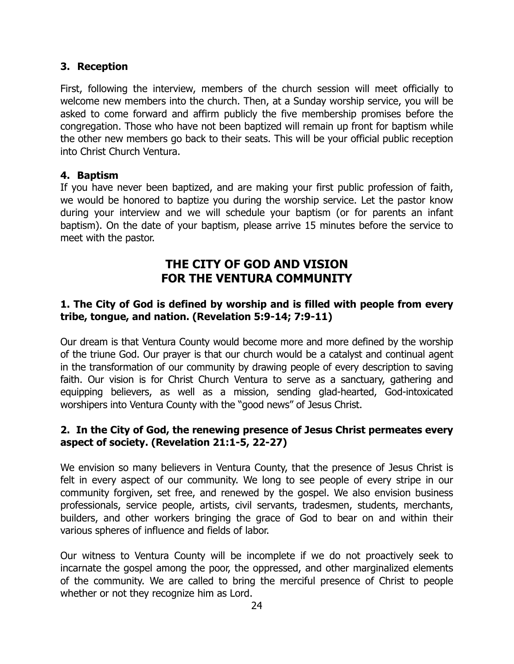#### **3. Reception**

First, following the interview, members of the church session will meet officially to welcome new members into the church. Then, at a Sunday worship service, you will be asked to come forward and affirm publicly the five membership promises before the congregation. Those who have not been baptized will remain up front for baptism while the other new members go back to their seats. This will be your official public reception into Christ Church Ventura.

#### **4. Baptism**

If you have never been baptized, and are making your first public profession of faith, we would be honored to baptize you during the worship service. Let the pastor know during your interview and we will schedule your baptism (or for parents an infant baptism). On the date of your baptism, please arrive 15 minutes before the service to meet with the pastor.

# **THE CITY OF GOD AND VISION FOR THE VENTURA COMMUNITY**

#### **1. The City of God is defined by worship and is filled with people from every tribe, tongue, and nation. (Revelation 5:9-14; 7:9-11)**

Our dream is that Ventura County would become more and more defined by the worship of the triune God. Our prayer is that our church would be a catalyst and continual agent in the transformation of our community by drawing people of every description to saving faith. Our vision is for Christ Church Ventura to serve as a sanctuary, gathering and equipping believers, as well as a mission, sending glad-hearted, God-intoxicated worshipers into Ventura County with the "good news" of Jesus Christ.

#### **2. In the City of God, the renewing presence of Jesus Christ permeates every aspect of society. (Revelation 21:1-5, 22-27)**

We envision so many believers in Ventura County, that the presence of Jesus Christ is felt in every aspect of our community. We long to see people of every stripe in our community forgiven, set free, and renewed by the gospel. We also envision business professionals, service people, artists, civil servants, tradesmen, students, merchants, builders, and other workers bringing the grace of God to bear on and within their various spheres of influence and fields of labor.

Our witness to Ventura County will be incomplete if we do not proactively seek to incarnate the gospel among the poor, the oppressed, and other marginalized elements of the community. We are called to bring the merciful presence of Christ to people whether or not they recognize him as Lord.